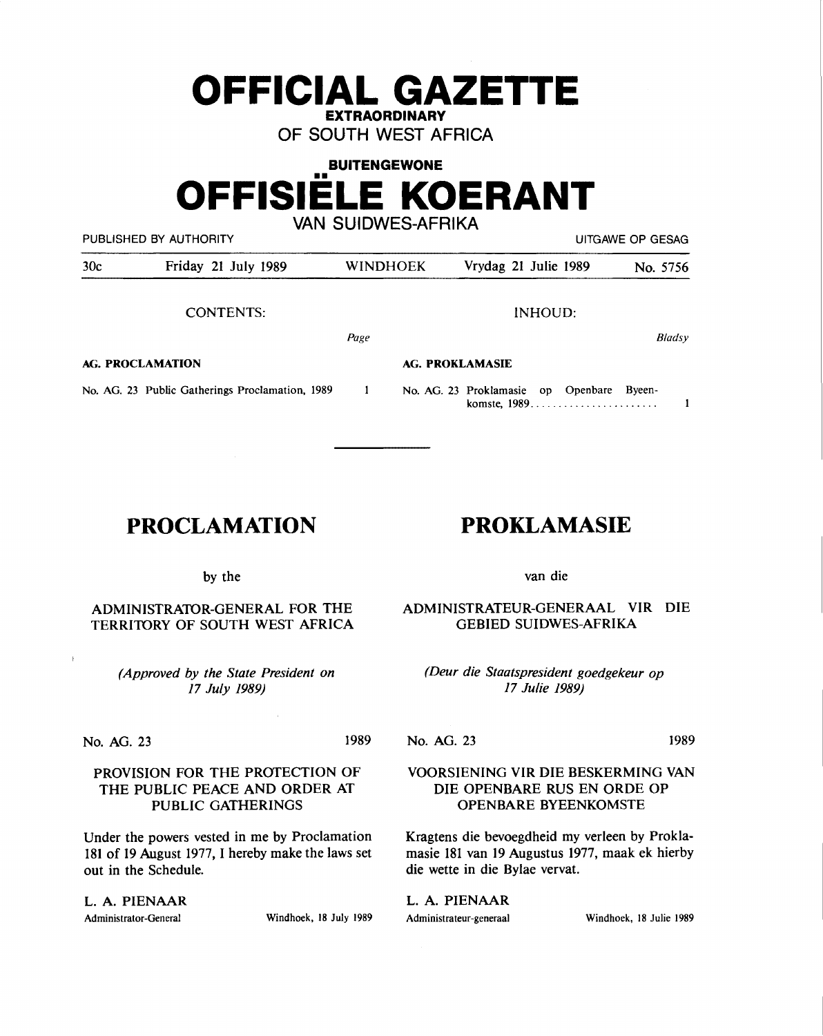# **OFFICIAL GAZETTE EXTRAORDINARY**

**OF SOUTH WEST AFRICA** 

# **BUITENGEWONE**  •• **OFFISIELE KOERANT VAN SUIDWES-AFRIKA**

PUBLISHED BY AUTHORITY **EXECUTE A SECURE 2018 THE SECURE 2019 THE SECURE 2019 THE SECURE 2019 THE SECURE 2019** 

30c Friday 21 July 1989 WINDHOEK Vrydag 21 Julie 1989 No. 5756 CONTENTS: lNHOUD: *8/adsy Page*  **AG. PROCLAMATION AG. PROKLAMASIE**  No. AG. 23 Public Gatherings Proclamation, 1989  $\mathbf{1}$ No. AG. 23 Proklamasie op Openbare Byeenkomste, 1989.........................  $\mathbf{1}$ 

# **PROCLAMATION**

# **PROKLAMASIE**

by the

ADMINISTRATOR-GENERAL FOR THE TERRITORY OF SOUTH WEST AFRICA

> *(Approved by the State President on 17 July 1989)*

No. AG. 23 1989

No. AG. 23 1989

# PROVISION FOR THE PROTECTION OF THE PUBLIC PEACE AND ORDER AT PUBLIC GATHERINGS

Under the powers vested in me by Proclamation 181 of 19 August 1977, I hereby make the laws set out in the Schedule.

L. **A. PIENAAR**  Administrator-General Windhoek, 18 July 1989

van die

ADMINISTRATEUR-GENERAAL VIR DIE GEBIED SUIDWES-AFRIKA

*(Deur die Staatspresident goedgekeur op 17 Julie 1989)* 

# VOORSIENING VIR DIE BESKERMING VAN DIE OPENBARE RUS EN ORDE OP OPENBARE BYEENKOMSTE

Kragtens die bevoegdheid my verleen by Proklamasie 181 van 19 Augustus 1977, maak ek hierby die wette in die Bylae vervat.

L. A. PIENAAR Administrateur-generaal Windhoek, 18 Julie 1989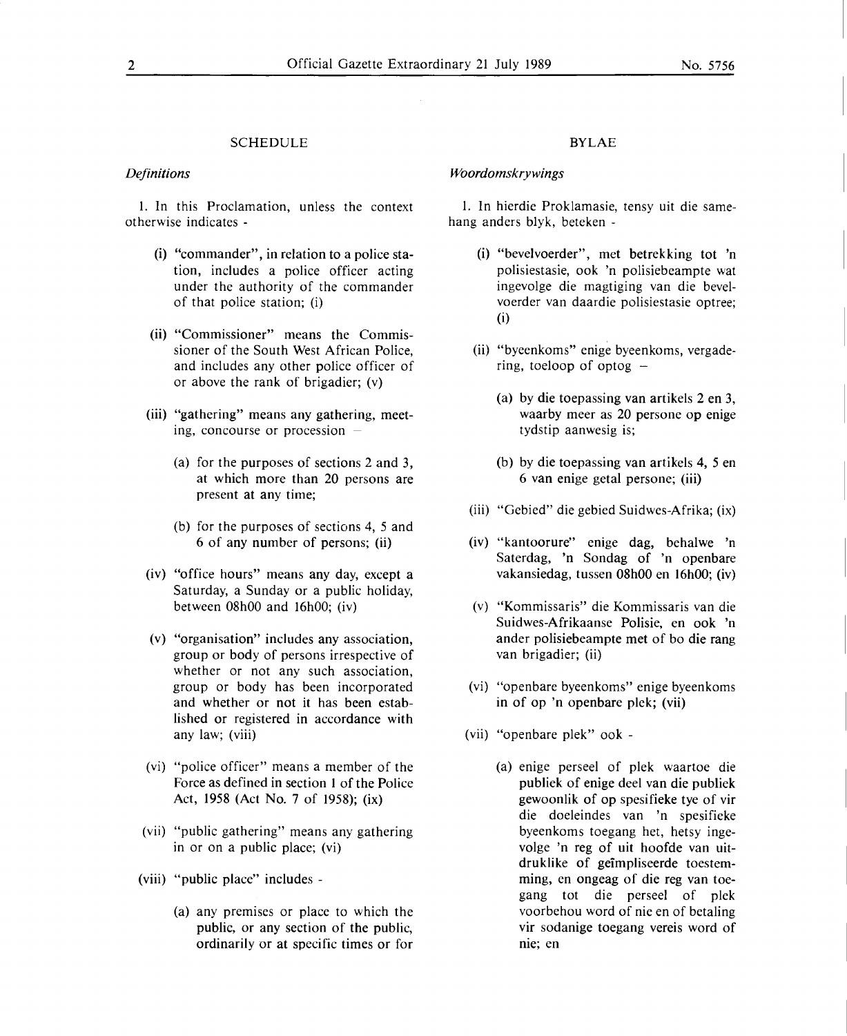#### SCHEDULE

#### *Definitions*

1. In this Proclamation, unless the context otherwise indicates -

- (i) "commander", in relation to a police station, includes a police officer acting under the authority of the commander of that police station; (i)
- (ii) "Commissioner" means the Commissioner of the South West African Police, and includes any other police officer of or above the rank of brigadier; (v)
- (iii) "gathering" means any gathering, meeting, concourse or procession  $-$ 
	- (a) for the purposes of sections 2 and 3, at which more than 20 persons are present at any time;
	- (b) for the purposes of sections 4, *5* and 6 of any number of persons; (ii)
- (iv) "office hours" means any day, except a Saturday, a Sunday or a public holiday, between 08h00 and 16h00; (iv)
- (v) "organisation" includes any association, group or body of persons irrespective of whether or not any such association, group or body has been incorporated and whether or not it has been established or registered in accordance with any law; (viii)
- **(vi)** "police officer" means a member of the Force as defined in section 1 of the Police Act, 1958 (Act No. 7 of 1958); (ix)
- (vii) "public gathering" means any gathering in or on a public place; (vi)
- (viii) "public place" includes
	- (a) any premises or place to which the public, or any section of the public, ordinarily or at specific times or for

#### **BYLAE**

#### *Woordomskrywings*

1. In hierdie Proklamasie, tensy uit die samehang anders blyk, beteken -

- (i) "bevelvoerder", met betrekking tot 'n polisiestasie, ook 'n polisiebeampte wat ingevolge die magtiging van die bevelvoerder van daardie polisiestasie optree; (i)
- (ii) "byeenkoms" enige byeenkoms, vergadering, toeloop of optog  $-$ 
	- (a) by die toepassing van artikels 2 en 3, waarby meer as 20 persone op enige tydstip aanwesig is;
	- (b) by die toepassing van artikels 4, *5* en 6 van enige getal persone; (iii)
- (iii) "Gebied" die gebied Suidwes-Afrika; (ix)
- (iv) "kantoorure" enige dag, behalwe 'n Saterdag, 'n Sondag of 'n openbare vakansiedag, tussen 08h00 en 16h00; (iv)
- (v) ''Kommissaris" die Kommissaris van die Suidwes-Afrikaanse Polisie, en ook 'n ander polisiebeampte met of bo die rang van brigadier; (ii)
- (vi) "openbare byeenkoms" enige byeenkoms in of op 'n openbare plek; (vii)
- (vii) "openbare plek" ook
	- (a) enige perseel of plek waartoe die publiek of enige deel van die publiek gewoonlik of op spesifieke tye of vir die doeleindes van 'n spesifieke byeenkoms toegang het, hetsy ingevolge 'n reg of uit hoofde van uitdruklike of geimpliseerde toestemming, en ongeag of die reg van toegang tot die perseel of plek voorbehou word of nie en of betaling vir sodanige toegang vereis word of nie; en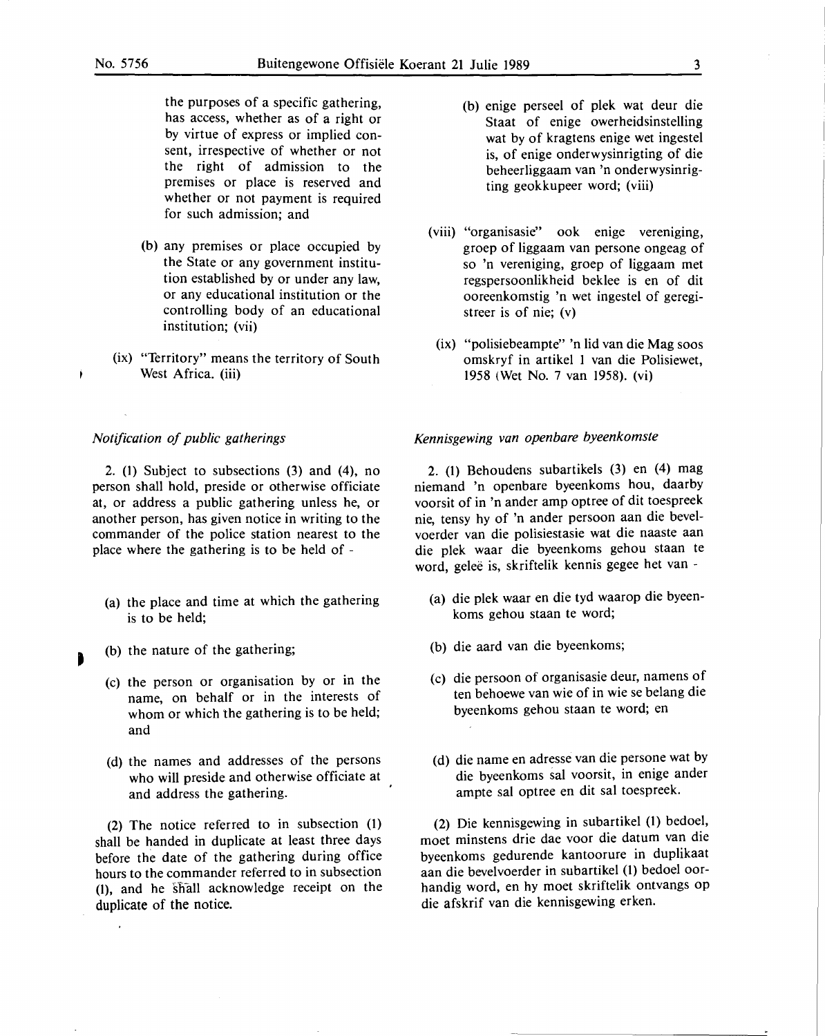j.

the purposes of a specific gathering, has access, whether as of a right or by virtue of express or implied consent, irrespective of whether or not the right of admission to the premises or place is reserved and whether or not payment is required for such admission; and

- (b) any premises or place occupied by the State or any government institution established by or under any law, or any educational institution or the controlling body of an educational institution; (vii)
- (ix) "Territory" means the territory of South West Africa. (iii)

#### *Notification of public gatherings*

2. (1) Subject to subsections (3) and (4), no person shall hold, preside or otherwise officiate at, or address a public gathering unless he, or another person, has given notice in writing to the commander of the police station nearest to the place where the gathering is to be held of -

- (a) the place and time at which the gathering is to be held;
- (b) the nature of the gathering;
	- (c) the person or organisation by or in the name, on behalf or in the interests of whom or which the gathering is to be held; and
	- (d) the names and addresses of the persons who will preside and otherwise officiate at and address the gathering.

(2) The notice referred to in subsection (1) shall be handed in duplicate at least three days before the date of the gathering during office hours to the commander referred to in subsection (1), and he shall acknowledge receipt on the duplicate of the notice.

- (b) enige perseel of plek wat deur die Staat of enige owerheidsinstelling wat by of kragtens enige wet ingestel is, of enige onderwysinrigting of die beheerliggaam van 'n onderwysinrigting geokkupeer word; (viii)
- (viii) "organisasie" ook enige vereniging, groep of liggaam van persone ongeag of so 'n vereniging, groep of liggaam met regspersoonlikheid beklee is en of dit ooreenkomstig 'n wet ingestel of geregistreer is of nie; (v)
- (ix) "polisiebeampte" 'n lid van die Mag soos omskryf in artikel I van die Polisiewet, 1958 (Wet No. 7 van 1958). (vi)

#### *Kennisgewing van openbare byeenkomste*

2. (1) Behoudens subartikels (3) en (4) mag niemand 'n openbare byeenkoms hou, daarby voorsit of in 'n ander amp optree of dit toespreek nie, tensy hy of 'n ander persoon aan die bevelvoerder van die polisiestasie wat die naaste aan die plek waar die byeenkoms gehou staan te word, geleë is, skriftelik kennis gegee het van -

- (a) die plek waar en die tyd waarop die byeenkoms gehou staan te word;
- (b) die aard van die byeenkoms;
- (c) die persoon of organisasie deur, namens of ten behoewe van wie of in wie se belang die byeenkoms gehou staan te word; en
- (d) die name en adresse van die persone wat by die byeenkoms sal voorsit, in enige ander ampte sal optree en dit sal toespreek.

(2) Die kennisgewing in subartikel (1) bedoel, moet minstens drie dae voor die datum van die byeenkoms gedurende kantoorure in duplikaat aan die bevelvoerder in subartikel (1) bedoel oorhandig word, en hy moet skriftelik ontvangs op die afskrif van die kennisgewing erken.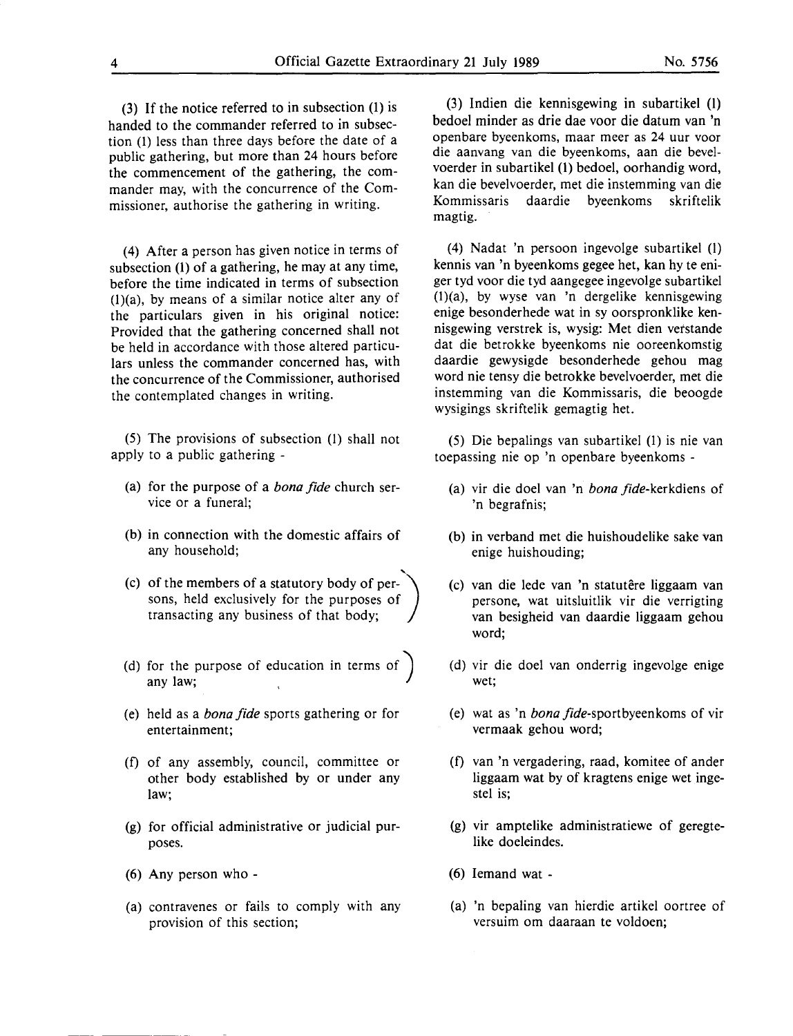(3) If the notice referred to in subsection (1) is handed to the commander referred to in subsection (1) less than three days before the date of a public gathering, but more than 24 hours before the commencement of the gathering, the commander may, with the concurrence of the Commissioner, authorise the gathering in writing.

(4) After a person has given notice in terms of subsection (1) of a gathering, he may at any time, before the time indicated in terms of subsection  $(1)(a)$ , by means of a similar notice alter any of the particulars given in his original notice: Provided that the gathering concerned shall not be held in accordance with those altered particulars unless the commander concerned has, with the concurrence of the Commissioner, authorised the contemplated changes in writing.

(5) The provisions of subsection (1) shall not apply to a public gathering -

- (a) for the purpose of a *bona fide* church service or a funeral;
- (b) in connection with the domestic affairs of any household;
- '· (c) of the members of a statutory body of persons, held exclusively for the purposes of transacting any business of that body;
- (d) for the purpose of education in terms of) any law;
- (e) held as a *bona fide* sports gathering or for entertainment;
- (f) of any assembly, council, committee or other body established by or under any law;
- (g) for official administrative or judicial purposes.
- (6) Any person who -
- (a) contravenes or fails to comply with any provision of this section;

(3) Indien die kennisgewing in subartikel (1) bedoel minder as drie dae voor die datum van 'n openbare byeenkoms, maar meer as 24 uur voor die aanvang van die byeenkoms, aan die bevelvoerder in subartikel (1) bedoel, oorhandig word, kan die bevelvoerder, met die instemming van die Kommissaris daardie byeenkoms skriftelik magtig.

(4) Nadat 'n persoon ingevolge subartikel (1) kennis van 'n byeenkoms gegee het, kan hy te eniger tyd voor die tyd aangegee ingevolge subartikel (l)(a), by wyse van 'n dergelike kennisgewing enige besonderhede wat in sy oorspronklike kennisgewing verstrek is, wysig: Met dien vetstande dat die betrokke byeenkoms nie ooreenkomstig daardie gewysigde besonderhede gehou mag word nie tensy die betrokke bevelvoerder, met die instemming van die Kommissaris, die beoogde wysigings skriftelik gemagtig het.

(5) Die bepalings van subartikel (1) is nie van toepassing nie op 'n openbare byeenkoms -

- (a) vir die doel van 'n *bona* fide-kerkdiens of 'n begrafnis;
- (b) in verband met die huishoudelike sake van enige huishouding;
- (c) van die lede van 'n statutere liggaam van persone, wat uitsluitlik vir die verrigting van besigheid van daardie liggaam gehou word;
- (d) vir die doel van onderrig ingevolge enige wet;
- (e) wat as 'n *bona* fide-sportbyeenkoms of vir vermaak gehou word;
- (f) van 'n vergadering, raad, komitee of ander liggaam wat by of kragtens enige wet ingestel is;
- (g) vir amptelike administratiewe of geregtelike doeleindes.
- (6) Iemand wat -
- (a) 'n bepaling van hierdie artikel oortree of versuim om daaraan te voldoen;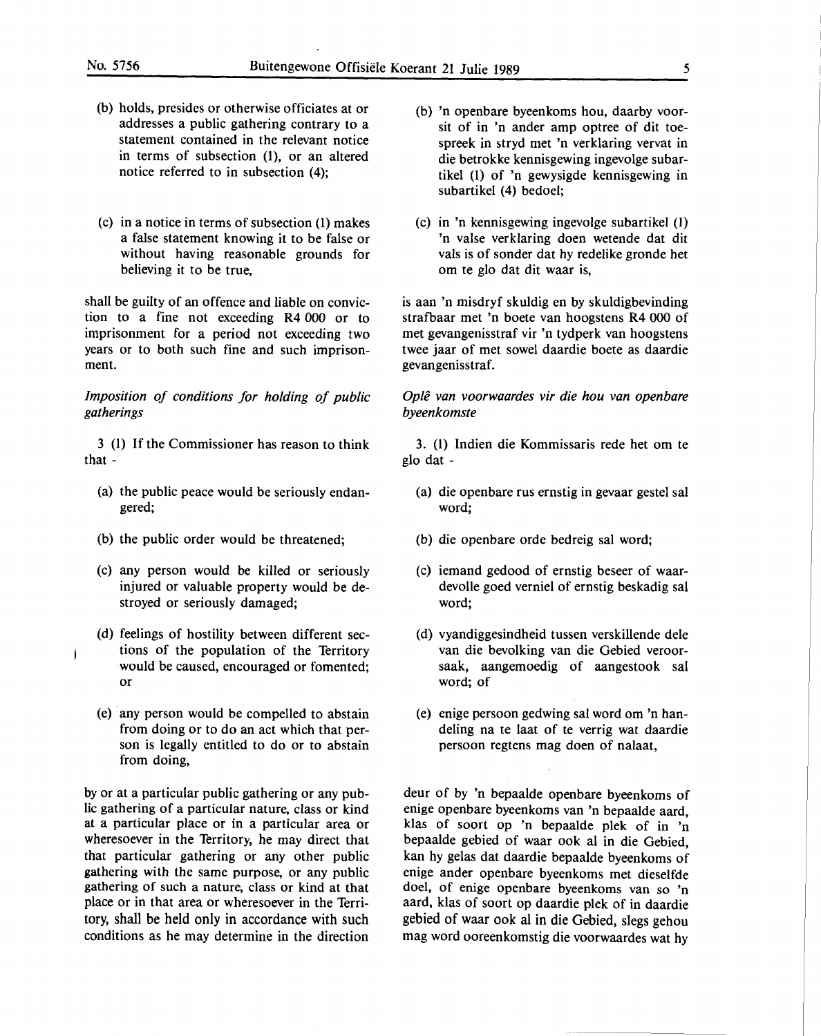- (b) holds, presides or otherwise officiates at or addresses a public gathering contrary to a statement contained in the relevant notice in terms of subsection (1), or an altered notice referred to in subsection (4);
- (c) in a notice in terms of subsection (l) makes a false statement knowing it to be false or without having reasonable grounds for believing it to be true,

shall be guilty of an offence and liable on conviction to a fine not exceeding **R4** 000 or to imprisonment for a period not exceeding two years or to both such fine and such imprisonment.

*Imposition of conditions for holding of public gatherings* 

3 (1) If the Commissioner has reason to think that -

- (a) the public peace would be seriously endangered;
- (b) the public order would be threatened;
- (c) any person would be killed or seriously injured or valuable property would be destroyed or seriously damaged;
- (d) feelings of hostility between different sections of the population of the Territory would be caused, encouraged or fomented; or
- (e) · any person would be compelled to abstain from doing or to do an act which that person is legally entitled to do or to abstain from doing,

by or at a particular public gathering or any public gathering of a particular nature, class or kind at a particular place or in a particular area or wheresoever in the Territory, he may direct that that particular gathering or any other public gathering with the same purpose, or any public gathering of such a nature, class or kind at that place or in that area or wheresoever in the Territory, shall be held only in accordance with such conditions as he may determine in the direction

- (b) 'n openbare byeenkoms hou, daarby voorsit of in 'n ander amp optree of dit toespreek in stryd met 'n verklaring vervat in die betrokke kennisgewing ingevolge subartikel (l) of 'n gewysigde kennisgewing in subartikel (4) bedoel;
- (c) in 'n kennisgewing ingevolge subartikel (I) 'n valse ver klaring doen wetende dat dit vals is of sonder dat hy redelike gronde het om te glo dat dit waar is,

is aan 'n misdryf skuldig en by skuldigbevinding strafbaar met 'n boete van hoogstens **R4** 000 of met gevangenisstraf vir 'n tydperk van hoogstens twee jaar of met sowel daardie boete as daardie gevangenisstraf.

*Opie van voorwaardes vir die hou van openbare byeenkomste* 

3. (l) Indien die Kommissaris rede het om te glo dat -

- (a) die openbare rus ernstig in gevaar gestel sal word;
- (b) die openbare orde bedreig sal word;
- (c) iemand gedood of ernstig beseer of waardevolle goed verniel of ernstig beskadig sal word;
- (d) vyandiggesindheid tussen verskillende dele van die bevolking van die Gebied veroorsaak, aangemoedig of aangestook sal word; of
- (e) enige persoon gedwing sal word om 'n handeling na te laat of te verrig wat daardie persoon regtens mag doen of nalaat,

deur of by 'n bepaalde openbare byeenkoms of enige openbare byeenkoms van 'n bepaalde aard, klas of soort op 'n bepaalde plek of in 'n bepaalde gebied of waar ook al in die Gebied, kan hy gelas dat daardie bepaalde byeenkoms of enige ander openbare byeenkoms met dieselfde doel, of enige openbare byeenkoms van so 'n aard, klas of soort op daardie plek of in daardie gebied of waar ook al in die Gebied, slegs gehou mag word ooreenkomstig die voorwaardes wat hy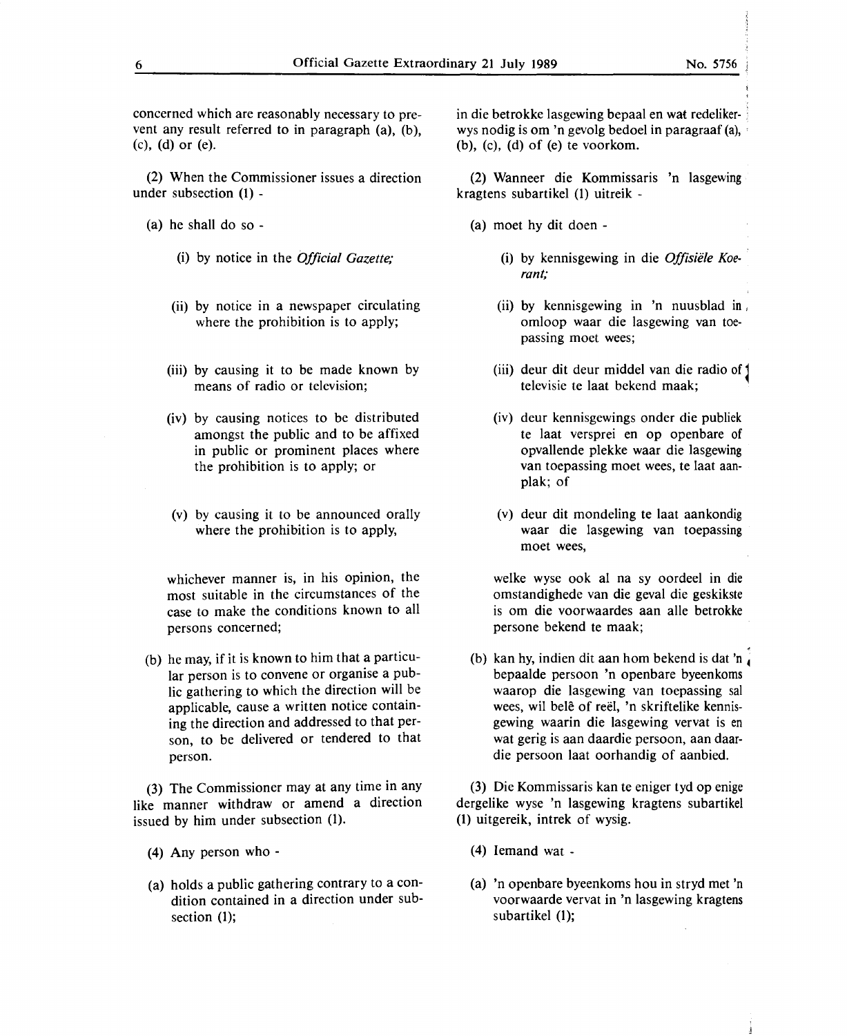concerned which are reasonably necessary to prevent any result referred to in paragraph (a). (b). (c), (d) or (e).

(2) When the Commissioner issues a direction under subsection (1) -

(a) he shall do so -

(i) by notice in the *Official Gazette;* 

- (ii) by notice in a newspaper circulating where the prohibition is to apply;
- (iii) by causing it to be made known by means of radio or television;
- (iv) by causing notices to be distributed amongst the public and to be affixed in public or prominent places where the prohibition is to apply; or
- (v) by causing it to be announced orally where the prohibition is to apply,

whichever manner is, in his opinion, the most suitable in the circumstances of the case to make the conditions known to all persons concerned;

(b) he may, if it is known to him that a particular person is to convene or organise a public gathering to which the direction will be applicable, cause a written notice containing the direction and addressed to that person, to be delivered or tendered to that person.

(3) The Commissioner may at any time in any like manner withdraw or amend a direction issued by him under subsection (1).

- (4) Any person who -
- (a) holds a public gathering contrary to a condition contained in a direction under subsection (1);

in die betrokke lasgewing bepaal en wat redeliker- j wys nodig is om 'n gevolg bedoel in paragraaf (a), , (b), (c), (d) of (e) te voorkom.

(2) Wanneer die Kommissaris 'n lasgewing kragtens subartikel (1) uitreik -

- (a) moet hy dit doen
	- (i) by kennisgewing in die *Offisiele Koerant;*
	- (ii) by kennisgewing in 'n nuusblad in , omloop waar die lasgewing van toepassing moet wees;
	- (iii) deur dit deur middel van die radio of 1 televisie te laat bekend maak;
	- (iv) deur kennisgewings onder die publiek te laat versprei en op openbare of opvallende plekke waar die lasgewing van toepassing moet wees, te laat aanplak; of
	- (v) deur dit mondeling te laat aankondig waar die lasgewing van toepassing moet wees,

welke wyse ook al na sy oordeel in die omstandighede van die geval die geskikste is om die voorwaardes aan alle betrokke persone bekend te maak;

(b) kan hy, indien dit aan hom bekend is dat 'n bepaalde persoon 'n openbare byeenkoms waarop die lasgewing van toepassing sal wees, wil belê of reël, 'n skriftelike kennisgewing waarin die lasgewing vervat is en wat gerig is aan daardie persoon, aan daardie persoon laat oorhandig of aanbied.

(3) Die Kommissaris kan te eniger tyd op enige dergelike wyse 'n lasgewing kragtens subartikel (1) uitgereik, intrek of wysig.

- (4) Iemand wat -
- (a) 'n openbare byeenkoms hou in stryd met 'n voorwaarde vervat in 'n lasgewing kragtens subartikel (1);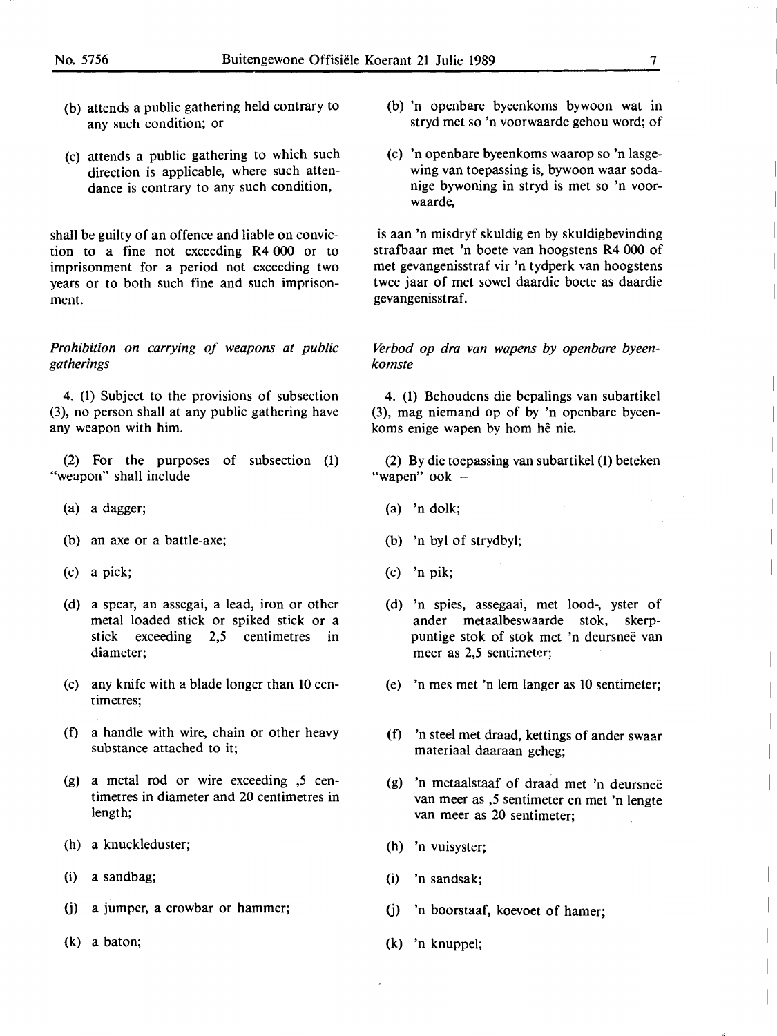- (b) attends a public gathering held contrary to any such condition; or
- (c) attends a public gathering to which such direction is applicable, where such attendance is contrary to any such condition,

shall be guilty of an offence and liable on conviction to a fine not exceeding **R4** 000 or to imprisonment for a period not exceeding two years or to both such fine and such imprisonment.

*Prohibition on carrying of weapons at public gatherings* 

4. (1) Subject to the provisions of subsection (3), no person shall at any public gathering have any weapon with him.

(2) For the purposes of subsection (1) "weapon" shall include -

- (a) a dagger;
- (b) an axe or a battle-axe;
- (c) a pick;
- (d) a spear, an assegai, a lead, iron or other metal loaded stick or spiked stick or a **stick** exceeding 2,5 centimetres in diameter;
- (e) any knife with a blade longer than 10 centimetres;
- (f) a handle with wire, chain or other heavy substance attached to it;
- (g) a metal rod or wire exceeding ,5 centimetres in diameter and 20 centimetres in length;
- (h) a knuckleduster;
- (i) a sandbag;
- (j) a jumper, a crowbar or hammer;
- (k) a baton;
- (b) 'n openbare byeenkoms bywoon wat in stryd met so **'n** voorwaarde gehou word; of
- (c) 'n openbare byeenkoms waarop so 'n lasgewing van toepassing is, bywoon waar sodanige bywoning in stryd is met so 'n voorwaarde,

is aan 'n misdryf skuldig en by skuldigbevinding strafbaar met 'n boete van hoogstens R4 000 of met gevangenisstraf vir 'n tydperk van hoogstens twee jaar of met sowel daardie boete as daardie gevangenisstraf.

*Verbod op dra van wapens by openbare byeenkomste* 

4. (1) Behoudens die bepalings van subartikel (3), mag niemand op of by 'n openbare byeenkoms enige wapen by horn he nie.

(2) By die toepassing van subartikel (1) beteken "wapen" ook  $-$ 

- (a) 'n dolk;
- (b) 'n byl of strydbyl;
- (c) 'n **pik;**
- (d) 'n spies, assegaai, met lood-, yster of ander metaalbeswaarde stok, skerppuntige stok of stok met 'n deursnee van meer as 2,5 sentimeter;
- (e) 'n mes met 'n lem !anger as 10 sentimeter;
- (f) 'n steel met draad, kettings of ander swaar materiaal daaraan geheg;
- (g) 'n metaalstaaf of draad met 'n deursnee van meer as *,5* sentimeter en met 'n lengte van meer as 20 sentimeter;
- (h) 'n vuisyster;
- (i) 'n sandsak;
- (j) 'n boorstaaf, koevoet of hamer;
- (k) 'n knuppel;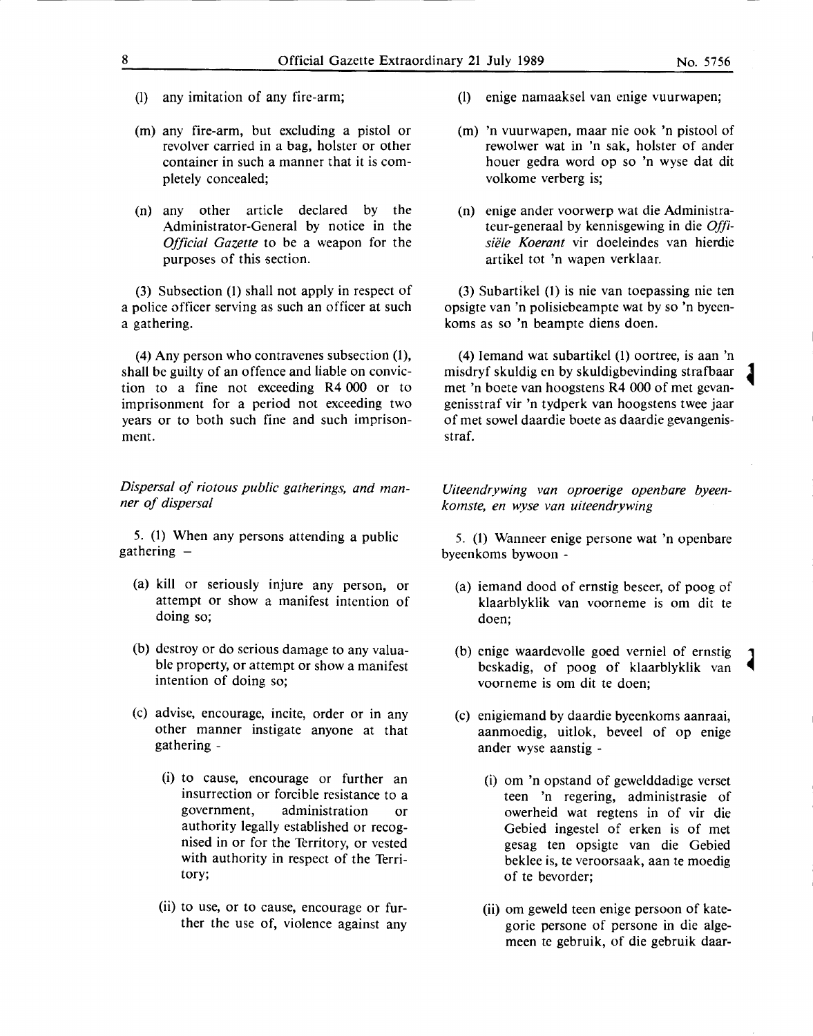- (1) any imitation of any fire-arm;
- (m) any fire-arm, but excluding a pistol or revolver carried in a bag, holster or other container in such a manner that it is completely concealed;
- (n) any other article declared by the Administrator-General by notice in the *Official Gazette* to be a weapon for the purposes of this section.

(3) Subsection (1) shall not apply in respect of a police officer serving as such an officer at such a gathering.

(4) Any person who contravenes subsection (1), shall be guilty of an offence and liable on conviction to a fine not exceeding **R4** 000 or to imprisonment for a period not exceeding two years or to both such fine and such imprisonment.

*Dispersal of riotous public gatherings, and manner of dispersal* 

*5.* (1) When any persons attending a public  $g$ athering  $-$ 

- (a) kill or seriously injure any person, or attempt or show a manifest intention of doing so;
- (b) destroy or do serious damage to any valuable property, or attempt or show a manifest intention of doing so;
- (c) advise, encourage, incite, order or in any other manner instigate anyone at that gathering -
	- (i) to cause, encourage or further an insurrection or forcible resistance to a government, administration or authority legally established or recognised in or for the Territory, or vested with authority in respect of the Territory;
	- (ii) to use, or to cause, encourage or further the use of, violence against any
- (1) enige namaaksel van enige vuurwapen;
- (m) 'n vuurwapen, maar nie ook 'n pistool of rewolwer wat in 'n sak, holster of ander houer gedra word op so 'n wyse dat dit volkome verberg is;
- (n) enige ander voorwerp wat die Administrateur-generaal by kennisgewing in die *Offlsii!le Koerant* vir doeleindes van hierdie artikel tot 'n wapen verklaar.

(3) Subartikel (1) is nie van toepassing nie ten opsigte van 'n polisiebeampte wat by so 'n byeenkoms as so 'n beampte diens doen.

(4) Iemand wat subartikel (1) oortree, is aan 'n misdryf skuldig en by skuldigbevinding strafbaar <sup>~</sup> met 'n boete van hoogstens R4 000 of met gevangenisstraf vir 'n tydperk van hoogstens twee jaar of met sowel daardie boete as daardie gevangenisstraf.

*Uiteendrywing van oproerige openbare byeenkomste, en wyse van uiteendrywing* 

*5.* (1) Wanneer enige persone wat 'n openbare byeenkoms bywoon -

- (a) iemand dood of ernstig beseer, of poog of klaarblyklik van voorneme is om dit te doen;
- (b) enige waardevolle goed verniel of ernstig 1 beskadig, of poog of klaarblyklik van voorneme is om dit te doen;
- (c) enigiemand by daardie byeenkoms aanraai, aanmoedig, uitlok, beveel of op enige ander wyse aanstig -
	- (i) om 'n opstand of gewelddadige verset teen 'n regering, administrasie of owerheid wat regtens in of vir die Gebied ingestel of erken is of met gesag ten opsigte van die Gebied beklee is, te veroorsaak, aan te moedig of te bevorder;
	- (ii) om geweld teen enige persoon of kategorie persone of persone in die algemeen te gebruik, of die gebruik daar-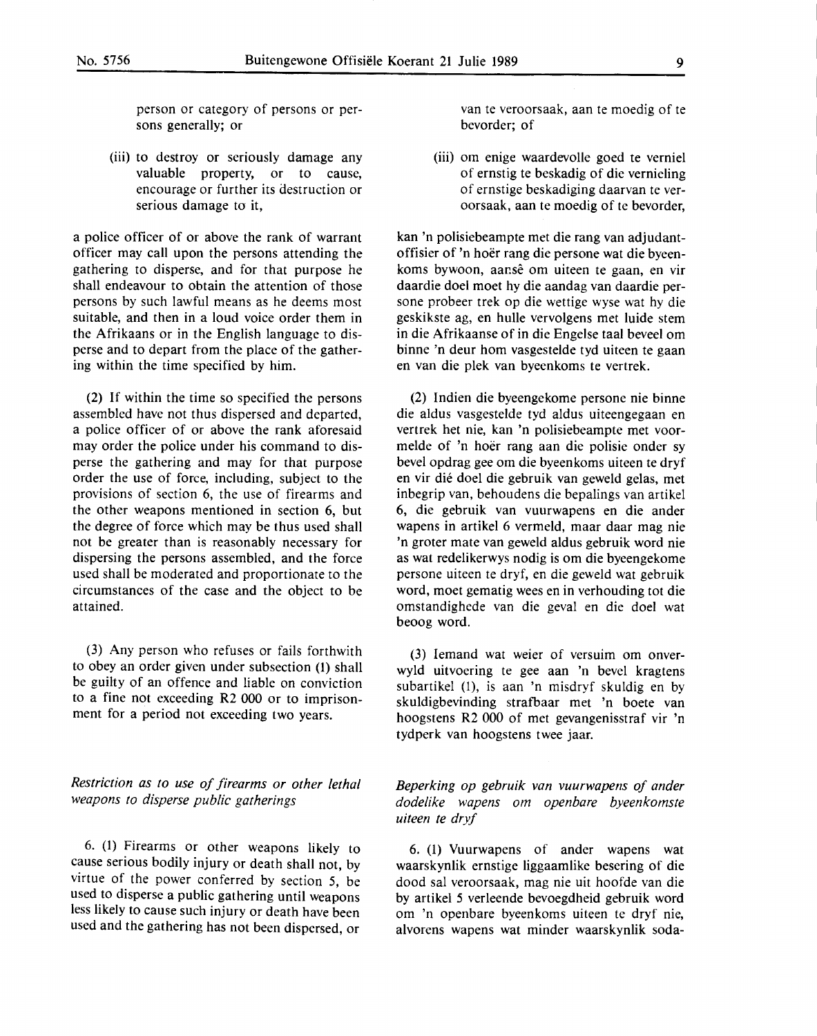person or category of persons or persons generally; or

(iii) to destroy or seriously damage any valuable property, or to cause, encourage or further its destruction or serious damage to it,

a police officer of or above the rank of warrant officer may call upon the persons attending the gathering to disperse, and for that purpose he shall endeavour to obtain the attention of those persons by such lawful means as he deems most suitable, and then in a loud voice order them in the Afrikaans or in the English language to disperse and to depart from the place of the gathering within the time specified by him.

(2) If within the time so specified the persons assembled have not thus dispersed and departed, a police officer of or above the rank aforesaid may order the police under his command to disperse the gathering and may for that purpose order the use of force, including, subject to the provisions of section 6, the use of firearms and the other weapons mentioned in section 6, but the degree of force which may be thus used shall not be greater than is reasonably necessary for dispersing the persons assembled, and the force used shall be moderated and proportionate to the circumstances of the case and the object to be attained.

(3) Any person who refuses or fails forthwith to obey an order given under subsection (1) shall be guilty of an offence and liable on conviction to a fine not exceeding **R2 000** or to imprisonment for a period not exceeding two years.

*Restriction as to use of firearms or other lethal weapons to disperse public gatherings* 

6. **(1)** Firearms or other weapons likely to cause serious bodily injury or death shall not, by virtue of the power conferred by section *5,* be used to disperse a public gathering until weapons less likely to cause such injury or death have been used and the gathering has not been dispersed, or

van te veroorsaak, aan te moedig of te bevorder; of

(iii) om enige waardevolle goed te verniel of ernstig te beskadig of die vernieling of ernstige beskadiging daarvan te veroorsaak, aan te moedig of te bevorder,

kan 'n polisiebeampte met die rang van adjudantoffisier of 'n hoer rang die persone wat die byeenkoms bywoon, aanse om uiteen te gaan, en vir daardie doel moet hy die aandag van daardie persone probeer trek op die wettige wyse wat hy die geskikste ag, en hulle vervolgens met luide stem in die Afrikaanse of in die Engelse taal beveel om binne 'n deur horn vasgestelde tyd uiteen te gaan en van die plek van byeenkoms te vertrek.

(2) lndien die byeengekome persone nie binne die aldus vasgestelde tyd aldus uiteengegaan en vertrek bet nie, kan 'n polisiebeampte met voormelde of 'n hoer rang aan die polisie onder sy bevel opdrag gee om die byeenkoms uiteen te dryf en vir die doel die gebruik van geweld gelas, met inbegrip van, behoudens die bepalings van artikel 6, die gebruik van vuurwapens en die ander wapens in artikel 6 vermeld, maar daar mag nie 'n groter mate van geweld aldus gebruik word nie as wat redelikerwys nodig is om die byeengekome persone uiteen te dryf, en die geweld wat gebruik word, moet gematig wees en in verhouding tot die omstandighede van die geval en die doel wat beoog word.

(3) Iemand wat weier of versuim om onverwyld uitvoering te gee aan 'n bevel kragtens subartikel (1), is aan 'n misdryf skuldig en by skuldigbevinding strafbaar met 'n boete van hoogstens R2 000 of met gevangenisstraf vir 'n tydperk van hoogstens twee jaar.

*Beperking op gebruik van vuurwapens of ander dodelike wapens om openbare byeenkomste uiteen te dryf* 

6. (1) Vuurwapens of ander wapens wat waarskynlik ernstige liggaamlike besering of die dood sal veroorsaak, mag nie uit hoofde van die by artikel *5* verleende bevoegdheid gebruik word om 'n openbare byeenkoms uiteen te dryf nie, alvorens wapens wat minder waarskynlik soda